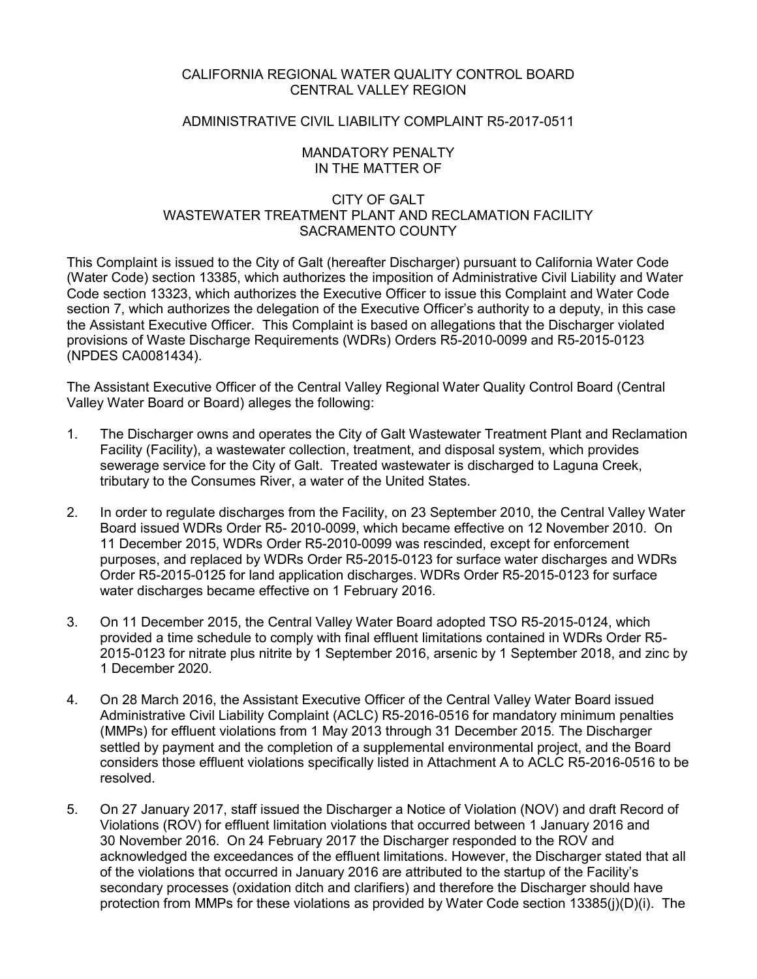## CALIFORNIA REGIONAL WATER QUALITY CONTROL BOARD CENTRAL VALLEY REGION

# ADMINISTRATIVE CIVIL LIABILITY COMPLAINT R5-2017-0511

## MANDATORY PENALTY IN THE MATTER OF

## CITY OF GALT WASTEWATER TREATMENT PLANT AND RECLAMATION FACILITY SACRAMENTO COUNTY

This Complaint is issued to the City of Galt (hereafter Discharger) pursuant to California Water Code (Water Code) section 13385, which authorizes the imposition of Administrative Civil Liability and Water Code section 13323, which authorizes the Executive Officer to issue this Complaint and Water Code section 7, which authorizes the delegation of the Executive Officer's authority to a deputy, in this case the Assistant Executive Officer. This Complaint is based on allegations that the Discharger violated provisions of Waste Discharge Requirements (WDRs) Orders R5-2010-0099 and R5-2015-0123 (NPDES CA0081434).

The Assistant Executive Officer of the Central Valley Regional Water Quality Control Board (Central Valley Water Board or Board) alleges the following:

- 1. The Discharger owns and operates the City of Galt Wastewater Treatment Plant and Reclamation Facility (Facility), a wastewater collection, treatment, and disposal system, which provides sewerage service for the City of Galt. Treated wastewater is discharged to Laguna Creek, tributary to the Consumes River, a water of the United States.
- 2. In order to regulate discharges from the Facility, on 23 September 2010, the Central Valley Water Board issued WDRs Order R5- 2010-0099, which became effective on 12 November 2010. On 11 December 2015, WDRs Order R5-2010-0099 was rescinded, except for enforcement purposes, and replaced by WDRs Order R5-2015-0123 for surface water discharges and WDRs Order R5-2015-0125 for land application discharges. WDRs Order R5-2015-0123 for surface water discharges became effective on 1 February 2016.
- 3. On 11 December 2015, the Central Valley Water Board adopted TSO R5-2015-0124, which provided a time schedule to comply with final effluent limitations contained in WDRs Order R5- 2015-0123 for nitrate plus nitrite by 1 September 2016, arsenic by 1 September 2018, and zinc by 1 December 2020.
- 4. On 28 March 2016, the Assistant Executive Officer of the Central Valley Water Board issued Administrative Civil Liability Complaint (ACLC) R5-2016-0516 for mandatory minimum penalties (MMPs) for effluent violations from 1 May 2013 through 31 December 2015. The Discharger settled by payment and the completion of a supplemental environmental project, and the Board considers those effluent violations specifically listed in Attachment A to ACLC R5-2016-0516 to be resolved.
- 5. On 27 January 2017, staff issued the Discharger a Notice of Violation (NOV) and draft Record of Violations (ROV) for effluent limitation violations that occurred between 1 January 2016 and 30 November 2016. On 24 February 2017 the Discharger responded to the ROV and acknowledged the exceedances of the effluent limitations. However, the Discharger stated that all of the violations that occurred in January 2016 are attributed to the startup of the Facility's secondary processes (oxidation ditch and clarifiers) and therefore the Discharger should have protection from MMPs for these violations as provided by Water Code section 13385(j)(D)(i). The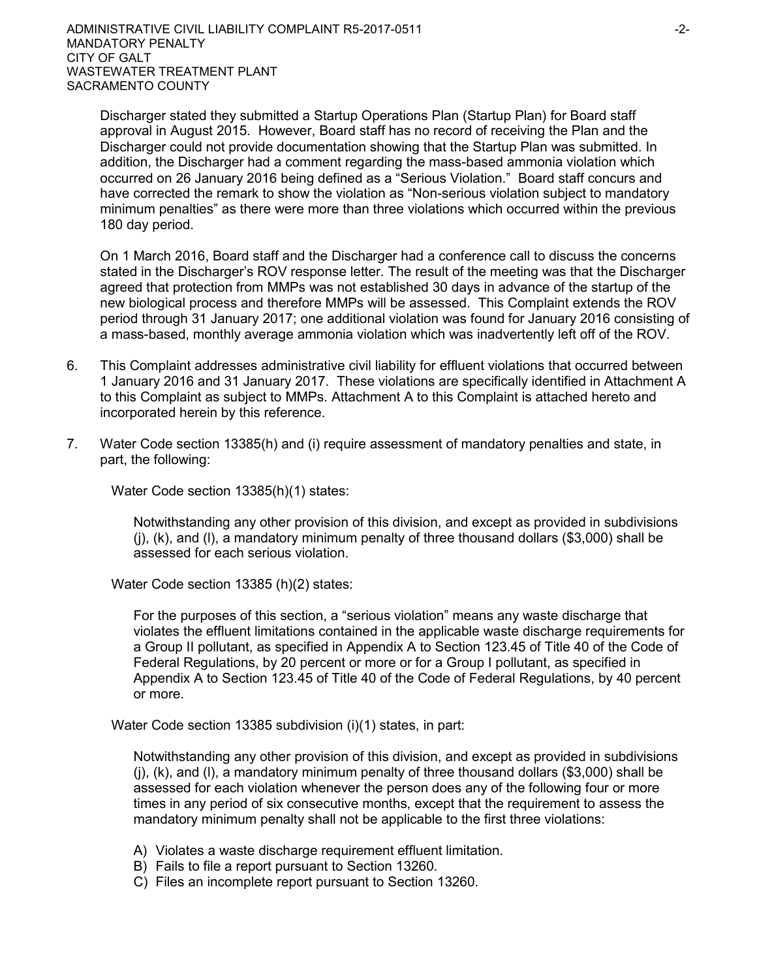Discharger stated they submitted a Startup Operations Plan (Startup Plan) for Board staff approval in August 2015. However, Board staff has no record of receiving the Plan and the Discharger could not provide documentation showing that the Startup Plan was submitted. In addition, the Discharger had a comment regarding the mass-based ammonia violation which occurred on 26 January 2016 being defined as a "Serious Violation." Board staff concurs and have corrected the remark to show the violation as "Non-serious violation subject to mandatory minimum penalties" as there were more than three violations which occurred within the previous 180 day period.

On 1 March 2016, Board staff and the Discharger had a conference call to discuss the concerns stated in the Discharger's ROV response letter. The result of the meeting was that the Discharger agreed that protection from MMPs was not established 30 days in advance of the startup of the new biological process and therefore MMPs will be assessed. This Complaint extends the ROV period through 31 January 2017; one additional violation was found for January 2016 consisting of a mass-based, monthly average ammonia violation which was inadvertently left off of the ROV.

- 6. This Complaint addresses administrative civil liability for effluent violations that occurred between 1 January 2016 and 31 January 2017. These violations are specifically identified in Attachment A to this Complaint as subject to MMPs. Attachment A to this Complaint is attached hereto and incorporated herein by this reference.
- 7. Water Code section 13385(h) and (i) require assessment of mandatory penalties and state, in part, the following:

Water Code section 13385(h)(1) states:

Notwithstanding any other provision of this division, and except as provided in subdivisions  $(i)$ ,  $(k)$ , and  $(l)$ , a mandatory minimum penalty of three thousand dollars (\$3,000) shall be assessed for each serious violation.

Water Code section 13385 (h)(2) states:

For the purposes of this section, a "serious violation" means any waste discharge that violates the effluent limitations contained in the applicable waste discharge requirements for a Group II pollutant, as specified in Appendix A to Section 123.45 of Title 40 of the Code of Federal Regulations, by 20 percent or more or for a Group I pollutant, as specified in Appendix A to Section 123.45 of Title 40 of the Code of Federal Regulations, by 40 percent or more.

Water Code section 13385 subdivision (i)(1) states, in part:

Notwithstanding any other provision of this division, and except as provided in subdivisions  $(i)$ ,  $(k)$ , and  $(l)$ , a mandatory minimum penalty of three thousand dollars (\$3,000) shall be assessed for each violation whenever the person does any of the following four or more times in any period of six consecutive months, except that the requirement to assess the mandatory minimum penalty shall not be applicable to the first three violations:

- A) Violates a waste discharge requirement effluent limitation.
- B) Fails to file a report pursuant to Section 13260.
- C) Files an incomplete report pursuant to Section 13260.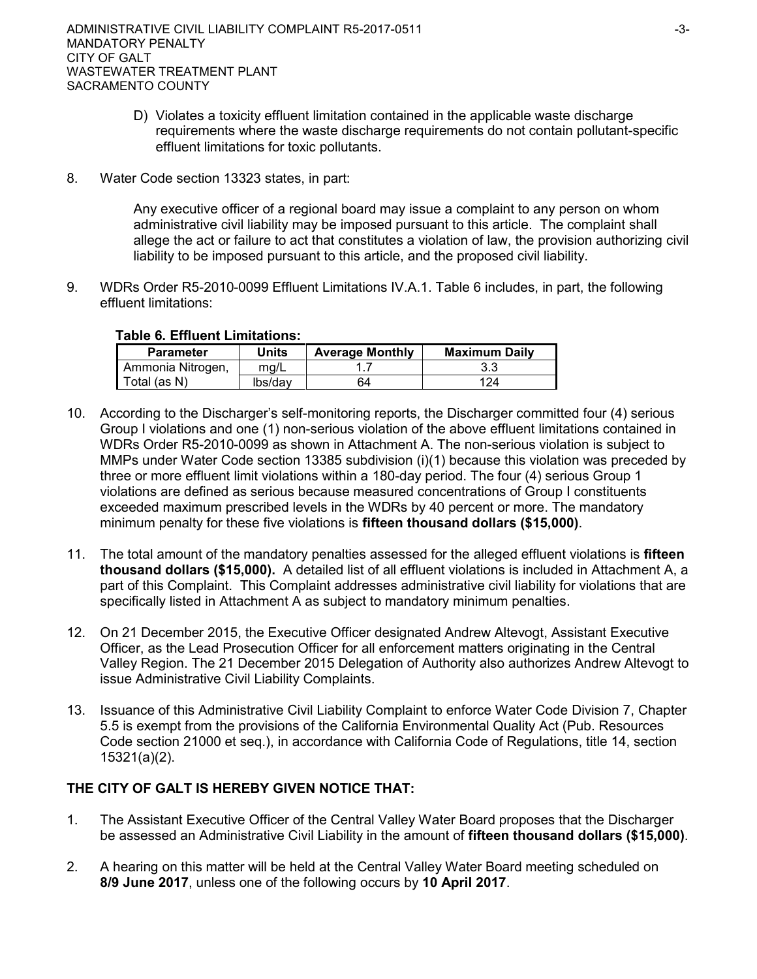- D) Violates a toxicity effluent limitation contained in the applicable waste discharge requirements where the waste discharge requirements do not contain pollutant-specific effluent limitations for toxic pollutants.
- 8. Water Code section 13323 states, in part:

Any executive officer of a regional board may issue a complaint to any person on whom administrative civil liability may be imposed pursuant to this article. The complaint shall allege the act or failure to act that constitutes a violation of law, the provision authorizing civil liability to be imposed pursuant to this article, and the proposed civil liability.

9. WDRs Order R5-2010-0099 Effluent Limitations IV.A.1. Table 6 includes, in part, the following effluent limitations:

## **Table 6. Effluent Limitations:**

| <b>Parameter</b>  | Units   | <b>Average Monthly</b> | <b>Maximum Daily</b> |  |  |
|-------------------|---------|------------------------|----------------------|--|--|
| Ammonia Nitrogen, | ma/L    |                        |                      |  |  |
| Total (as N)      | lbs/dav | 64                     | 124                  |  |  |

- 10. According to the Discharger's self-monitoring reports, the Discharger committed four (4) serious Group I violations and one (1) non-serious violation of the above effluent limitations contained in WDRs Order R5-2010-0099 as shown in Attachment A. The non-serious violation is subject to MMPs under Water Code section 13385 subdivision (i)(1) because this violation was preceded by three or more effluent limit violations within a 180-day period. The four (4) serious Group 1 violations are defined as serious because measured concentrations of Group I constituents exceeded maximum prescribed levels in the WDRs by 40 percent or more. The mandatory minimum penalty for these five violations is **fifteen thousand dollars (\$15,000)**.
- 11. The total amount of the mandatory penalties assessed for the alleged effluent violations is **fifteen thousand dollars (\$15,000).** A detailed list of all effluent violations is included in Attachment A, a part of this Complaint. This Complaint addresses administrative civil liability for violations that are specifically listed in Attachment A as subject to mandatory minimum penalties.
- 12. On 21 December 2015, the Executive Officer designated Andrew Altevogt, Assistant Executive Officer, as the Lead Prosecution Officer for all enforcement matters originating in the Central Valley Region. The 21 December 2015 Delegation of Authority also authorizes Andrew Altevogt to issue Administrative Civil Liability Complaints.
- 13. Issuance of this Administrative Civil Liability Complaint to enforce Water Code Division 7, Chapter 5.5 is exempt from the provisions of the California Environmental Quality Act (Pub. Resources Code section 21000 et seq.), in accordance with California Code of Regulations, title 14, section 15321(a)(2).

# **THE CITY OF GALT IS HEREBY GIVEN NOTICE THAT:**

- 1. The Assistant Executive Officer of the Central Valley Water Board proposes that the Discharger be assessed an Administrative Civil Liability in the amount of **fifteen thousand dollars (\$15,000)**.
- 2. A hearing on this matter will be held at the Central Valley Water Board meeting scheduled on **8/9 June 2017**, unless one of the following occurs by **10 April 2017**.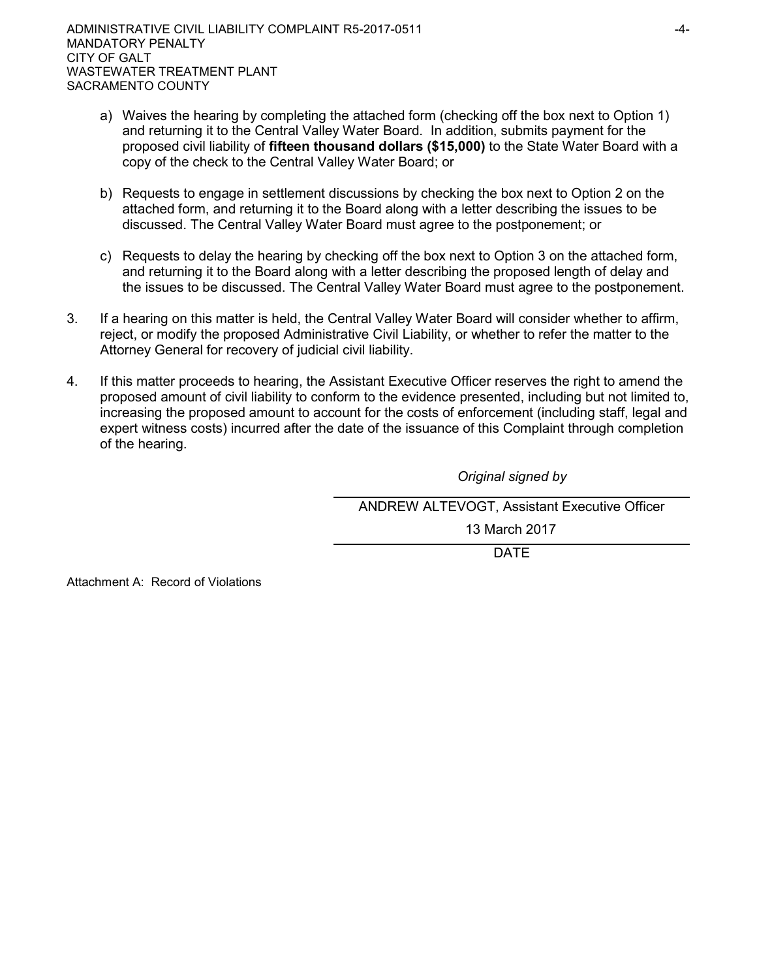- a) Waives the hearing by completing the attached form (checking off the box next to Option 1) and returning it to the Central Valley Water Board. In addition, submits payment for the proposed civil liability of **fifteen thousand dollars (\$15,000)** to the State Water Board with a copy of the check to the Central Valley Water Board; or
- b) Requests to engage in settlement discussions by checking the box next to Option 2 on the attached form, and returning it to the Board along with a letter describing the issues to be discussed. The Central Valley Water Board must agree to the postponement; or
- c) Requests to delay the hearing by checking off the box next to Option 3 on the attached form, and returning it to the Board along with a letter describing the proposed length of delay and the issues to be discussed. The Central Valley Water Board must agree to the postponement.
- 3. If a hearing on this matter is held, the Central Valley Water Board will consider whether to affirm, reject, or modify the proposed Administrative Civil Liability, or whether to refer the matter to the Attorney General for recovery of judicial civil liability.
- 4. If this matter proceeds to hearing, the Assistant Executive Officer reserves the right to amend the proposed amount of civil liability to conform to the evidence presented, including but not limited to, increasing the proposed amount to account for the costs of enforcement (including staff, legal and expert witness costs) incurred after the date of the issuance of this Complaint through completion of the hearing.

*Original signed by*

ANDREW ALTEVOGT, Assistant Executive Officer

13 March 2017

DATE

Attachment A: Record of Violations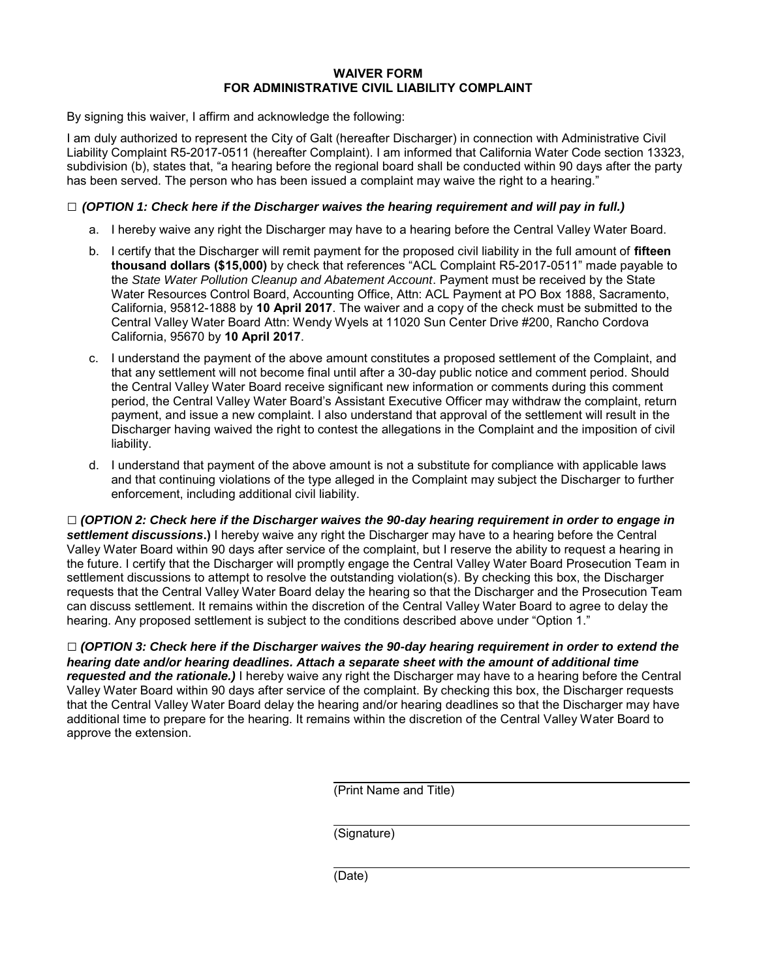### **WAIVER FORM FOR ADMINISTRATIVE CIVIL LIABILITY COMPLAINT**

By signing this waiver, I affirm and acknowledge the following:

I am duly authorized to represent the City of Galt (hereafter Discharger) in connection with Administrative Civil Liability Complaint R5-2017-0511 (hereafter Complaint). I am informed that California Water Code section 13323, subdivision (b), states that, "a hearing before the regional board shall be conducted within 90 days after the party has been served. The person who has been issued a complaint may waive the right to a hearing."

## **□** *(OPTION 1: Check here if the Discharger waives the hearing requirement and will pay in full.)*

- a. I hereby waive any right the Discharger may have to a hearing before the Central Valley Water Board.
- b. I certify that the Discharger will remit payment for the proposed civil liability in the full amount of **fifteen thousand dollars (\$15,000)** by check that references "ACL Complaint R5-2017-0511" made payable to the *State Water Pollution Cleanup and Abatement Account*. Payment must be received by the State Water Resources Control Board, Accounting Office, Attn: ACL Payment at PO Box 1888, Sacramento, California, 95812-1888 by **10 April 2017**. The waiver and a copy of the check must be submitted to the Central Valley Water Board Attn: Wendy Wyels at 11020 Sun Center Drive #200, Rancho Cordova California, 95670 by **10 April 2017**.
- c. I understand the payment of the above amount constitutes a proposed settlement of the Complaint, and that any settlement will not become final until after a 30-day public notice and comment period. Should the Central Valley Water Board receive significant new information or comments during this comment period, the Central Valley Water Board's Assistant Executive Officer may withdraw the complaint, return payment, and issue a new complaint. I also understand that approval of the settlement will result in the Discharger having waived the right to contest the allegations in the Complaint and the imposition of civil liability.
- d. I understand that payment of the above amount is not a substitute for compliance with applicable laws and that continuing violations of the type alleged in the Complaint may subject the Discharger to further enforcement, including additional civil liability.

**□** *(OPTION 2: Check here if the Discharger waives the 90-day hearing requirement in order to engage in settlement discussions***.)** I hereby waive any right the Discharger may have to a hearing before the Central Valley Water Board within 90 days after service of the complaint, but I reserve the ability to request a hearing in the future. I certify that the Discharger will promptly engage the Central Valley Water Board Prosecution Team in settlement discussions to attempt to resolve the outstanding violation(s). By checking this box, the Discharger requests that the Central Valley Water Board delay the hearing so that the Discharger and the Prosecution Team can discuss settlement. It remains within the discretion of the Central Valley Water Board to agree to delay the hearing. Any proposed settlement is subject to the conditions described above under "Option 1."

**□** *(OPTION 3: Check here if the Discharger waives the 90-day hearing requirement in order to extend the hearing date and/or hearing deadlines. Attach a separate sheet with the amount of additional time requested and the rationale.)* I hereby waive any right the Discharger may have to a hearing before the Central Valley Water Board within 90 days after service of the complaint. By checking this box, the Discharger requests that the Central Valley Water Board delay the hearing and/or hearing deadlines so that the Discharger may have additional time to prepare for the hearing. It remains within the discretion of the Central Valley Water Board to approve the extension.

(Print Name and Title)

(Signature)

(Date)